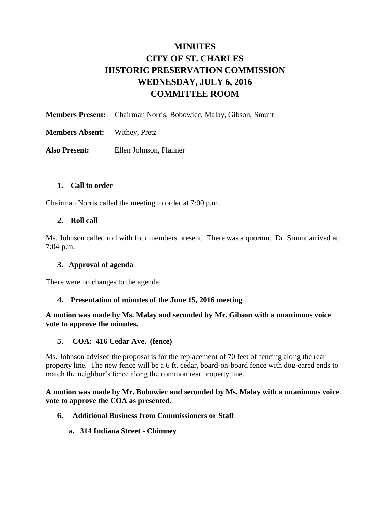# **MINUTES CITY OF ST. CHARLES HISTORIC PRESERVATION COMMISSION WEDNESDAY, JULY 6, 2016 COMMITTEE ROOM**

|                                      | <b>Members Present:</b> Chairman Norris, Bobowiec, Malay, Gibson, Smunt |
|--------------------------------------|-------------------------------------------------------------------------|
| <b>Members Absent:</b> Withey, Pretz |                                                                         |
| <b>Also Present:</b>                 | Ellen Johnson, Planner                                                  |

#### **1. Call to order**

Chairman Norris called the meeting to order at 7:00 p.m.

#### **2. Roll call**

Ms. Johnson called roll with four members present. There was a quorum. Dr. Smunt arrived at 7:04 p.m.

#### **3. Approval of agenda**

There were no changes to the agenda.

#### **4. Presentation of minutes of the June 15, 2016 meeting**

**A motion was made by Ms. Malay and seconded by Mr. Gibson with a unanimous voice vote to approve the minutes.** 

#### **5. COA: 416 Cedar Ave. (fence)**

Ms. Johnson advised the proposal is for the replacement of 70 feet of fencing along the rear property line. The new fence will be a 6 ft. cedar, board-on-board fence with dog-eared ends to match the neighbor's fence along the common rear property line.

**A motion was made by Mr. Bobowiec and seconded by Ms. Malay with a unanimous voice vote to approve the COA as presented.** 

- **6. Additional Business from Commissioners or Staff**
	- **a. 314 Indiana Street - Chimney**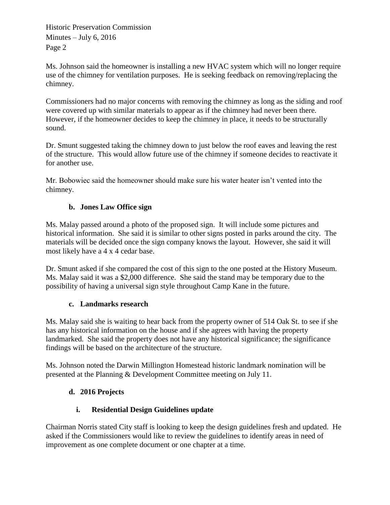Historic Preservation Commission Minutes  $-$  July 6, 2016 Page 2

Ms. Johnson said the homeowner is installing a new HVAC system which will no longer require use of the chimney for ventilation purposes. He is seeking feedback on removing/replacing the chimney.

Commissioners had no major concerns with removing the chimney as long as the siding and roof were covered up with similar materials to appear as if the chimney had never been there. However, if the homeowner decides to keep the chimney in place, it needs to be structurally sound.

Dr. Smunt suggested taking the chimney down to just below the roof eaves and leaving the rest of the structure. This would allow future use of the chimney if someone decides to reactivate it for another use.

Mr. Bobowiec said the homeowner should make sure his water heater isn't vented into the chimney.

# **b. Jones Law Office sign**

Ms. Malay passed around a photo of the proposed sign. It will include some pictures and historical information. She said it is similar to other signs posted in parks around the city. The materials will be decided once the sign company knows the layout. However, she said it will most likely have a 4 x 4 cedar base.

Dr. Smunt asked if she compared the cost of this sign to the one posted at the History Museum. Ms. Malay said it was a \$2,000 difference. She said the stand may be temporary due to the possibility of having a universal sign style throughout Camp Kane in the future.

# **c. Landmarks research**

Ms. Malay said she is waiting to hear back from the property owner of 514 Oak St. to see if she has any historical information on the house and if she agrees with having the property landmarked. She said the property does not have any historical significance; the significance findings will be based on the architecture of the structure.

Ms. Johnson noted the Darwin Millington Homestead historic landmark nomination will be presented at the Planning & Development Committee meeting on July 11.

# **d. 2016 Projects**

# **i. Residential Design Guidelines update**

Chairman Norris stated City staff is looking to keep the design guidelines fresh and updated. He asked if the Commissioners would like to review the guidelines to identify areas in need of improvement as one complete document or one chapter at a time.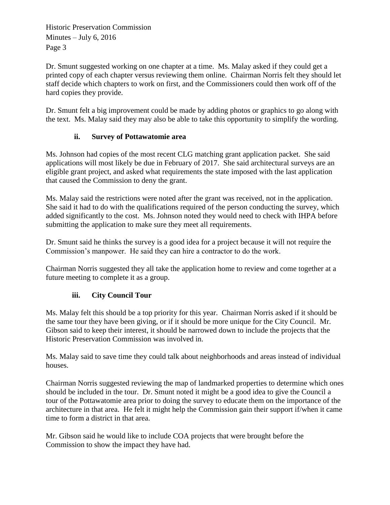Historic Preservation Commission Minutes  $-$  July 6, 2016 Page 3

Dr. Smunt suggested working on one chapter at a time. Ms. Malay asked if they could get a printed copy of each chapter versus reviewing them online. Chairman Norris felt they should let staff decide which chapters to work on first, and the Commissioners could then work off of the hard copies they provide.

Dr. Smunt felt a big improvement could be made by adding photos or graphics to go along with the text. Ms. Malay said they may also be able to take this opportunity to simplify the wording.

# **ii. Survey of Pottawatomie area**

Ms. Johnson had copies of the most recent CLG matching grant application packet. She said applications will most likely be due in February of 2017. She said architectural surveys are an eligible grant project, and asked what requirements the state imposed with the last application that caused the Commission to deny the grant.

Ms. Malay said the restrictions were noted after the grant was received, not in the application. She said it had to do with the qualifications required of the person conducting the survey, which added significantly to the cost. Ms. Johnson noted they would need to check with IHPA before submitting the application to make sure they meet all requirements.

Dr. Smunt said he thinks the survey is a good idea for a project because it will not require the Commission's manpower. He said they can hire a contractor to do the work.

Chairman Norris suggested they all take the application home to review and come together at a future meeting to complete it as a group.

### **iii. City Council Tour**

Ms. Malay felt this should be a top priority for this year. Chairman Norris asked if it should be the same tour they have been giving, or if it should be more unique for the City Council. Mr. Gibson said to keep their interest, it should be narrowed down to include the projects that the Historic Preservation Commission was involved in.

Ms. Malay said to save time they could talk about neighborhoods and areas instead of individual houses.

Chairman Norris suggested reviewing the map of landmarked properties to determine which ones should be included in the tour. Dr. Smunt noted it might be a good idea to give the Council a tour of the Pottawatomie area prior to doing the survey to educate them on the importance of the architecture in that area. He felt it might help the Commission gain their support if/when it came time to form a district in that area.

Mr. Gibson said he would like to include COA projects that were brought before the Commission to show the impact they have had.